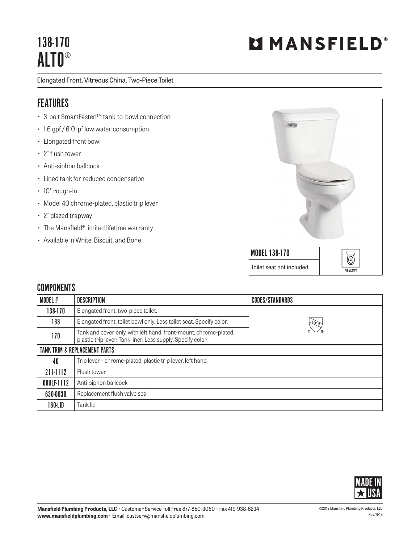## 138-170 ALTO®

Elongated Front, Vitreous China, Two-Piece Toilet

## FEATURES

- 3-bolt SmartFasten™ tank-to-bowl connection
- 1.6 gpf / 6.0 lpf low water consumption
- Elongated front bowl
- 2" flush tower
- Anti-siphon ballcock
- Lined tank for reduced condensation
- 10" rough-in
- Model 40 chrome-plated, plastic trip lever
- 2" glazed trapway
- The Mansfield® limited lifetime warranty
- Available in White, Biscuit, and Bone



## **COMPONENTS**

| MODEL #                                  | <b>DESCRIPTION</b>                                                                                                              | <b>CODES/STANDARDS</b> |  |
|------------------------------------------|---------------------------------------------------------------------------------------------------------------------------------|------------------------|--|
| 138-170                                  | Elongated front, two-piece toilet.                                                                                              |                        |  |
| 138                                      | Elongated front, toilet bowl only. Less toilet seat. Specify color.                                                             | $\sqrt{6}$             |  |
| 170                                      | Tank and cover only, with left hand, front-mount, chrome-plated,<br>plastic trip lever. Tank liner. Less supply. Specify color. |                        |  |
| <b>TANK TRIM &amp; REPLACEMENT PARTS</b> |                                                                                                                                 |                        |  |
| 40                                       | Trip lever - chrome-plated, plastic trip lever, left hand                                                                       |                        |  |
| 211-1112                                 | Flush tower                                                                                                                     |                        |  |
| 08ULF-1112                               | Anti-siphon ballcock                                                                                                            |                        |  |
| 630-0030                                 | Replacement flush valve seal                                                                                                    |                        |  |
| 160-LID                                  | Tank lid                                                                                                                        |                        |  |